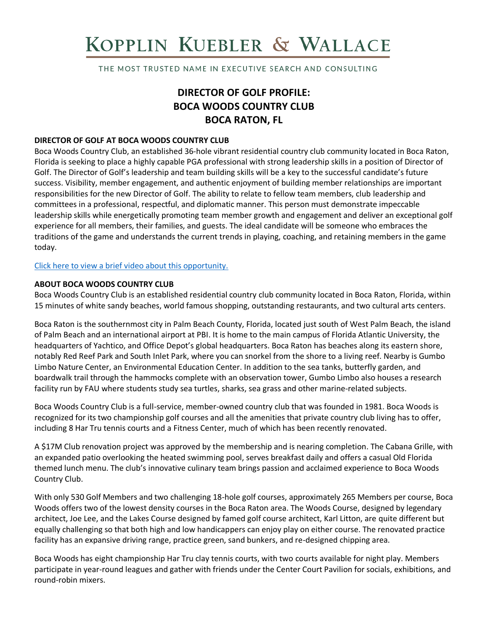# KOPPLIN KUEBLER & WALLACE

THE MOST TRUSTED NAME IN EXECUTIVE SEARCH AND CONSULTING

# **DIRECTOR OF GOLF PROFILE: BOCA WOODS COUNTRY CLUB BOCA RATON, FL**

#### **DIRECTOR OF GOLF AT BOCA WOODS COUNTRY CLUB**

Boca Woods Country Club, an established 36-hole vibrant residential country club community located in Boca Raton, Florida is seeking to place a highly capable PGA professional with strong leadership skills in a position of Director of Golf. The Director of Golf's leadership and team building skills will be a key to the successful candidate's future success. Visibility, member engagement, and authentic enjoyment of building member relationships are important responsibilities for the new Director of Golf. The ability to relate to fellow team members, club leadership and committees in a professional, respectful, and diplomatic manner. This person must demonstrate impeccable leadership skills while energetically promoting team member growth and engagement and deliver an exceptional golf experience for all members, their families, and guests. The ideal candidate will be someone who embraces the traditions of the game and understands the current trends in playing, coaching, and retaining members in the game today.

[Click here to view a brief video about this opportunity.](https://www.youtube.com/watch?v=75NRvAsbYWE)

#### **ABOUT BOCA WOODS COUNTRY CLUB**

Boca Woods Country Club is an established residential country club community located in Boca Raton, Florida, within 15 minutes of white sandy beaches, world famous shopping, outstanding restaurants, and two cultural arts centers.

Boca Raton is the southernmost city in Palm Beach County, Florida, located just south of West Palm Beach, the island of Palm Beach and an international airport at PBI. It is home to the main campus of Florida Atlantic University, the headquarters of Yachtico, and Office Depot's global headquarters. Boca Raton has beaches along its eastern shore, notably Red Reef Park and South Inlet Park, where you can snorkel from the shore to a living reef. Nearby is Gumbo Limbo Nature Center, an Environmental Education Center. In addition to the sea tanks, butterfly garden, and boardwalk trail through the hammocks complete with an observation tower, Gumbo Limbo also houses a research facility run by FAU where students study sea turtles, sharks, sea grass and other marine-related subjects.

Boca Woods Country Club is a full-service, member-owned country club that was founded in 1981. Boca Woods is recognized for its two championship golf courses and all the amenities that private country club living has to offer, including 8 Har Tru tennis courts and a Fitness Center, much of which has been recently renovated.

A \$17M Club renovation project was approved by the membership and is nearing completion. The Cabana Grille, with an expanded patio overlooking the heated swimming pool, serves breakfast daily and offers a casual Old Florida themed lunch menu. The club's innovative culinary team brings passion and acclaimed experience to Boca Woods Country Club.

With only 530 Golf Members and two challenging 18-hole golf courses, approximately 265 Members per course, Boca Woods offers two of the lowest density courses in the Boca Raton area. The Woods Course, designed by legendary architect, Joe Lee, and the Lakes Course designed by famed golf course architect, Karl Litton, are quite different but equally challenging so that both high and low handicappers can enjoy play on either course. The renovated practice facility has an expansive driving range, practice green, sand bunkers, and re-designed chipping area.

Boca Woods has eight championship Har Tru clay tennis courts, with two courts available for night play. Members participate in year-round leagues and gather with friends under the Center Court Pavilion for socials, exhibitions, and round-robin mixers.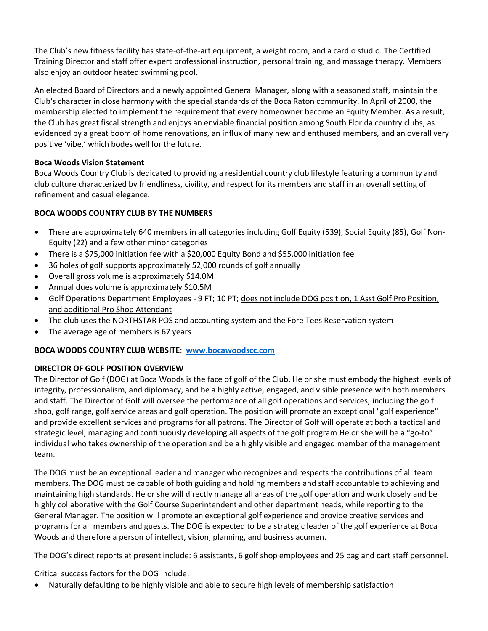The Club's new fitness facility has state-of-the-art equipment, a weight room, and a cardio studio. The Certified Training Director and staff offer expert professional instruction, personal training, and massage therapy. Members also enjoy an outdoor heated swimming pool.

An elected Board of Directors and a newly appointed General Manager, along with a seasoned staff, maintain the Club's character in close harmony with the special standards of the Boca Raton community. In April of 2000, the membership elected to implement the requirement that every homeowner become an Equity Member. As a result, the Club has great fiscal strength and enjoys an enviable financial position among South Florida country clubs, as evidenced by a great boom of home renovations, an influx of many new and enthused members, and an overall very positive 'vibe,' which bodes well for the future.

#### **Boca Woods Vision Statement**

Boca Woods Country Club is dedicated to providing a residential country club lifestyle featuring a community and club culture characterized by friendliness, civility, and respect for its members and staff in an overall setting of refinement and casual elegance.

# **BOCA WOODS COUNTRY CLUB BY THE NUMBERS**

- There are approximately 640 members in all categories including Golf Equity (539), Social Equity (85), Golf Non-Equity (22) and a few other minor categories
- There is a \$75,000 initiation fee with a \$20,000 Equity Bond and \$55,000 initiation fee
- 36 holes of golf supports approximately 52,000 rounds of golf annually
- Overall gross volume is approximately \$14.0M
- Annual dues volume is approximately \$10.5M
- Golf Operations Department Employees 9 FT; 10 PT; does not include DOG position, 1 Asst Golf Pro Position, and additional Pro Shop Attendant
- The club uses the NORTHSTAR POS and accounting system and the Fore Tees Reservation system
- The average age of members is 67 years

#### **BOCA WOODS COUNTRY CLUB WEBSITE**: **[www.bocawoodscc.com](http://www.bocawoodscc.com/)**

#### **DIRECTOR OF GOLF POSITION OVERVIEW**

The Director of Golf (DOG) at Boca Woods is the face of golf of the Club. He or she must embody the highest levels of integrity, professionalism, and diplomacy, and be a highly active, engaged, and visible presence with both members and staff. The Director of Golf will oversee the performance of all golf operations and services, including the golf shop, golf range, golf service areas and golf operation. The position will promote an exceptional "golf experience" and provide excellent services and programs for all patrons. The Director of Golf will operate at both a tactical and strategic level, managing and continuously developing all aspects of the golf program He or she will be a "go-to" individual who takes ownership of the operation and be a highly visible and engaged member of the management team.

The DOG must be an exceptional leader and manager who recognizes and respects the contributions of all team members. The DOG must be capable of both guiding and holding members and staff accountable to achieving and maintaining high standards. He or she will directly manage all areas of the golf operation and work closely and be highly collaborative with the Golf Course Superintendent and other department heads, while reporting to the General Manager. The position will promote an exceptional golf experience and provide creative services and programs for all members and guests. The DOG is expected to be a strategic leader of the golf experience at Boca Woods and therefore a person of intellect, vision, planning, and business acumen.

The DOG's direct reports at present include: 6 assistants, 6 golf shop employees and 25 bag and cart staff personnel.

Critical success factors for the DOG include:

• Naturally defaulting to be highly visible and able to secure high levels of membership satisfaction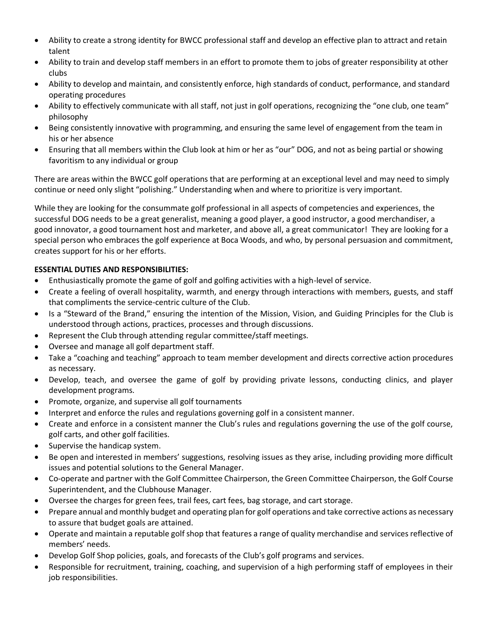- Ability to create a strong identity for BWCC professional staff and develop an effective plan to attract and retain talent
- Ability to train and develop staff members in an effort to promote them to jobs of greater responsibility at other clubs
- Ability to develop and maintain, and consistently enforce, high standards of conduct, performance, and standard operating procedures
- Ability to effectively communicate with all staff, not just in golf operations, recognizing the "one club, one team" philosophy
- Being consistently innovative with programming, and ensuring the same level of engagement from the team in his or her absence
- Ensuring that all members within the Club look at him or her as "our" DOG, and not as being partial or showing favoritism to any individual or group

There are areas within the BWCC golf operations that are performing at an exceptional level and may need to simply continue or need only slight "polishing." Understanding when and where to prioritize is very important.

While they are looking for the consummate golf professional in all aspects of competencies and experiences, the successful DOG needs to be a great generalist, meaning a good player, a good instructor, a good merchandiser, a good innovator, a good tournament host and marketer, and above all, a great communicator! They are looking for a special person who embraces the golf experience at Boca Woods, and who, by personal persuasion and commitment, creates support for his or her efforts.

# **ESSENTIAL DUTIES AND RESPONSIBILITIES:**

- Enthusiastically promote the game of golf and golfing activities with a high-level of service.
- Create a feeling of overall hospitality, warmth, and energy through interactions with members, guests, and staff that compliments the service-centric culture of the Club.
- Is a "Steward of the Brand," ensuring the intention of the Mission, Vision, and Guiding Principles for the Club is understood through actions, practices, processes and through discussions.
- Represent the Club through attending regular committee/staff meetings.
- Oversee and manage all golf department staff.
- Take a "coaching and teaching" approach to team member development and directs corrective action procedures as necessary.
- Develop, teach, and oversee the game of golf by providing private lessons, conducting clinics, and player development programs.
- Promote, organize, and supervise all golf tournaments
- Interpret and enforce the rules and regulations governing golf in a consistent manner.
- Create and enforce in a consistent manner the Club's rules and regulations governing the use of the golf course, golf carts, and other golf facilities.
- Supervise the handicap system.
- Be open and interested in members' suggestions, resolving issues as they arise, including providing more difficult issues and potential solutions to the General Manager.
- Co-operate and partner with the Golf Committee Chairperson, the Green Committee Chairperson, the Golf Course Superintendent, and the Clubhouse Manager.
- Oversee the charges for green fees, trail fees, cart fees, bag storage, and cart storage.
- Prepare annual and monthly budget and operating plan for golf operations and take corrective actions as necessary to assure that budget goals are attained.
- Operate and maintain a reputable golf shop that features a range of quality merchandise and services reflective of members' needs.
- Develop Golf Shop policies, goals, and forecasts of the Club's golf programs and services.
- Responsible for recruitment, training, coaching, and supervision of a high performing staff of employees in their job responsibilities.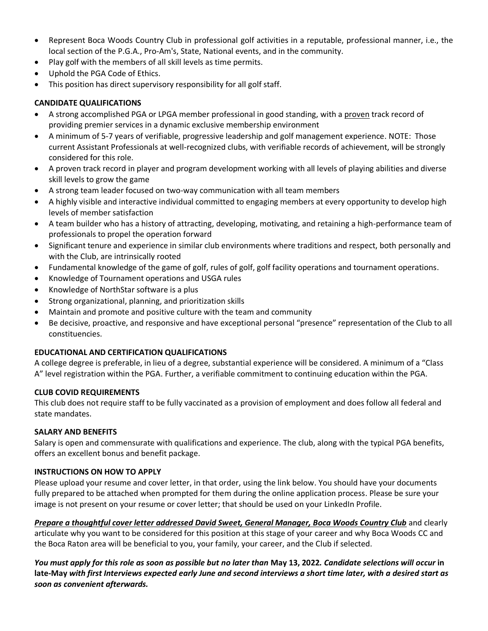- Represent Boca Woods Country Club in professional golf activities in a reputable, professional manner, i.e., the local section of the P.G.A., Pro-Am's, State, National events, and in the community.
- Play golf with the members of all skill levels as time permits.
- Uphold the PGA Code of Ethics.
- This position has direct supervisory responsibility for all golf staff.

### **CANDIDATE QUALIFICATIONS**

- A strong accomplished PGA or LPGA member professional in good standing, with a proven track record of providing premier services in a dynamic exclusive membership environment
- A minimum of 5-7 years of verifiable, progressive leadership and golf management experience. NOTE: Those current Assistant Professionals at well-recognized clubs, with verifiable records of achievement, will be strongly considered for this role.
- A proven track record in player and program development working with all levels of playing abilities and diverse skill levels to grow the game
- A strong team leader focused on two-way communication with all team members
- A highly visible and interactive individual committed to engaging members at every opportunity to develop high levels of member satisfaction
- A team builder who has a history of attracting, developing, motivating, and retaining a high-performance team of professionals to propel the operation forward
- Significant tenure and experience in similar club environments where traditions and respect, both personally and with the Club, are intrinsically rooted
- Fundamental knowledge of the game of golf, rules of golf, golf facility operations and tournament operations.
- Knowledge of Tournament operations and USGA rules
- Knowledge of NorthStar software is a plus
- Strong organizational, planning, and prioritization skills
- Maintain and promote and positive culture with the team and community
- Be decisive, proactive, and responsive and have exceptional personal "presence" representation of the Club to all constituencies.

#### **EDUCATIONAL AND CERTIFICATION QUALIFICATIONS**

A college degree is preferable, in lieu of a degree, substantial experience will be considered. A minimum of a "Class A" level registration within the PGA. Further, a verifiable commitment to continuing education within the PGA.

#### **CLUB COVID REQUIREMENTS**

This club does not require staff to be fully vaccinated as a provision of employment and does follow all federal and state mandates.

#### **SALARY AND BENEFITS**

Salary is open and commensurate with qualifications and experience. The club, along with the typical PGA benefits, offers an excellent bonus and benefit package.

#### **INSTRUCTIONS ON HOW TO APPLY**

Please upload your resume and cover letter, in that order, using the link below. You should have your documents fully prepared to be attached when prompted for them during the online application process. Please be sure your image is not present on your resume or cover letter; that should be used on your LinkedIn Profile.

*Prepare a thoughtful cover letter addressed David Sweet, General Manager, Boca Woods Country Club* and clearly articulate why you want to be considered for this position at this stage of your career and why Boca Woods CC and the Boca Raton area will be beneficial to you, your family, your career, and the Club if selected.

*You must apply for this role as soon as possible but no later than* **May 13, 2022***. Candidate selections will occur* **in late-May** *with first Interviews expected early June and second interviews a short time later, with a desired start as soon as convenient afterwards.*